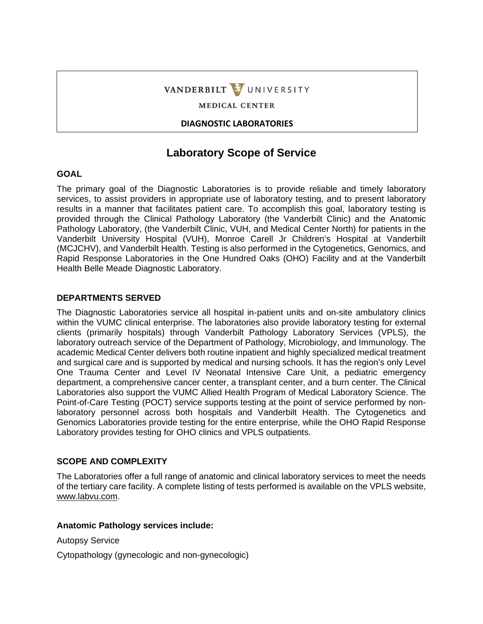# VANDERBILT VUNIVERSITY

**MEDICAL CENTER** 

**DIAGNOSTIC LABORATORIES** 

# **Laboratory Scope of Service**

# **GOAL**

The primary goal of the Diagnostic Laboratories is to provide reliable and timely laboratory services, to assist providers in appropriate use of laboratory testing, and to present laboratory results in a manner that facilitates patient care. To accomplish this goal, laboratory testing is provided through the Clinical Pathology Laboratory (the Vanderbilt Clinic) and the Anatomic Pathology Laboratory, (the Vanderbilt Clinic, VUH, and Medical Center North) for patients in the Vanderbilt University Hospital (VUH), Monroe Carell Jr Children's Hospital at Vanderbilt (MCJCHV), and Vanderbilt Health. Testing is also performed in the Cytogenetics, Genomics, and Rapid Response Laboratories in the One Hundred Oaks (OHO) Facility and at the Vanderbilt Health Belle Meade Diagnostic Laboratory.

# **DEPARTMENTS SERVED**

The Diagnostic Laboratories service all hospital in-patient units and on-site ambulatory clinics within the VUMC clinical enterprise. The laboratories also provide laboratory testing for external clients (primarily hospitals) through Vanderbilt Pathology Laboratory Services (VPLS), the laboratory outreach service of the Department of Pathology, Microbiology, and Immunology. The academic Medical Center delivers both routine inpatient and highly specialized medical treatment and surgical care and is supported by medical and nursing schools. It has the region's only Level One Trauma Center and Level IV Neonatal Intensive Care Unit, a pediatric emergency department, a comprehensive cancer center, a transplant center, and a burn center. The Clinical Laboratories also support the VUMC Allied Health Program of Medical Laboratory Science. The Point-of-Care Testing (POCT) service supports testing at the point of service performed by nonlaboratory personnel across both hospitals and Vanderbilt Health. The Cytogenetics and Genomics Laboratories provide testing for the entire enterprise, while the OHO Rapid Response Laboratory provides testing for OHO clinics and VPLS outpatients.

### **SCOPE AND COMPLEXITY**

The Laboratories offer a full range of anatomic and clinical laboratory services to meet the needs of the tertiary care facility. A complete listing of tests performed is available on the VPLS website, www.labvu.com.

### **Anatomic Pathology services include:**

Autopsy Service

Cytopathology (gynecologic and non-gynecologic)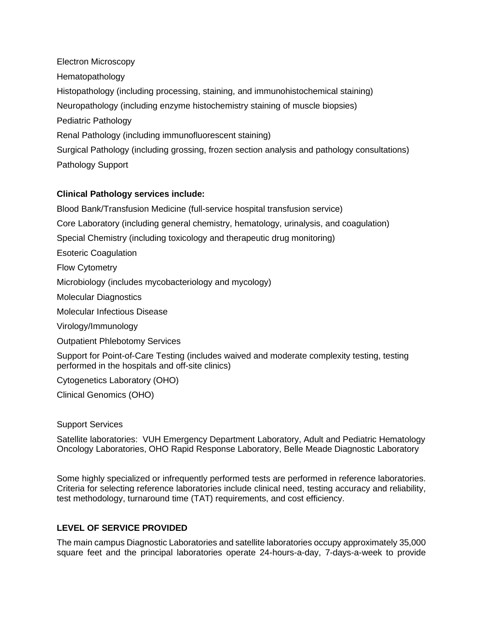Electron Microscopy Hematopathology Histopathology (including processing, staining, and immunohistochemical staining) Neuropathology (including enzyme histochemistry staining of muscle biopsies) Pediatric Pathology Renal Pathology (including immunofluorescent staining) Surgical Pathology (including grossing, frozen section analysis and pathology consultations) Pathology Support

# **Clinical Pathology services include:**

Blood Bank/Transfusion Medicine (full-service hospital transfusion service)

Core Laboratory (including general chemistry, hematology, urinalysis, and coagulation)

Special Chemistry (including toxicology and therapeutic drug monitoring)

Esoteric Coagulation

Flow Cytometry

Microbiology (includes mycobacteriology and mycology)

Molecular Diagnostics

Molecular Infectious Disease

Virology/Immunology

Outpatient Phlebotomy Services

Support for Point-of-Care Testing (includes waived and moderate complexity testing, testing performed in the hospitals and off-site clinics)

Cytogenetics Laboratory (OHO)

Clinical Genomics (OHO)

#### Support Services

Satellite laboratories: VUH Emergency Department Laboratory, Adult and Pediatric Hematology Oncology Laboratories, OHO Rapid Response Laboratory, Belle Meade Diagnostic Laboratory

Some highly specialized or infrequently performed tests are performed in reference laboratories. Criteria for selecting reference laboratories include clinical need, testing accuracy and reliability, test methodology, turnaround time (TAT) requirements, and cost efficiency.

### **LEVEL OF SERVICE PROVIDED**

The main campus Diagnostic Laboratories and satellite laboratories occupy approximately 35,000 square feet and the principal laboratories operate 24-hours-a-day, 7-days-a-week to provide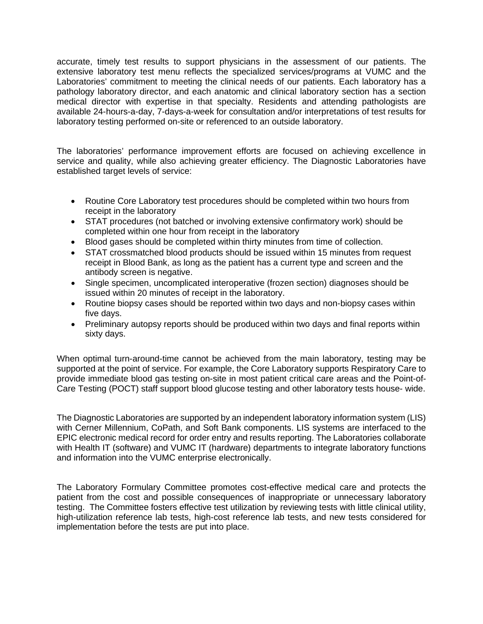accurate, timely test results to support physicians in the assessment of our patients. The extensive laboratory test menu reflects the specialized services/programs at VUMC and the Laboratories' commitment to meeting the clinical needs of our patients. Each laboratory has a pathology laboratory director, and each anatomic and clinical laboratory section has a section medical director with expertise in that specialty. Residents and attending pathologists are available 24-hours-a-day, 7-days-a-week for consultation and/or interpretations of test results for laboratory testing performed on-site or referenced to an outside laboratory.

The laboratories' performance improvement efforts are focused on achieving excellence in service and quality, while also achieving greater efficiency. The Diagnostic Laboratories have established target levels of service:

- Routine Core Laboratory test procedures should be completed within two hours from receipt in the laboratory
- STAT procedures (not batched or involving extensive confirmatory work) should be completed within one hour from receipt in the laboratory
- Blood gases should be completed within thirty minutes from time of collection.
- STAT crossmatched blood products should be issued within 15 minutes from request receipt in Blood Bank, as long as the patient has a current type and screen and the antibody screen is negative.
- Single specimen, uncomplicated interoperative (frozen section) diagnoses should be issued within 20 minutes of receipt in the laboratory.
- Routine biopsy cases should be reported within two days and non-biopsy cases within five days.
- Preliminary autopsy reports should be produced within two days and final reports within sixty days.

When optimal turn-around-time cannot be achieved from the main laboratory, testing may be supported at the point of service. For example, the Core Laboratory supports Respiratory Care to provide immediate blood gas testing on-site in most patient critical care areas and the Point-of-Care Testing (POCT) staff support blood glucose testing and other laboratory tests house- wide.

The Diagnostic Laboratories are supported by an independent laboratory information system (LIS) with Cerner Millennium, CoPath, and Soft Bank components. LIS systems are interfaced to the EPIC electronic medical record for order entry and results reporting. The Laboratories collaborate with Health IT (software) and VUMC IT (hardware) departments to integrate laboratory functions and information into the VUMC enterprise electronically.

The Laboratory Formulary Committee promotes cost-effective medical care and protects the patient from the cost and possible consequences of inappropriate or unnecessary laboratory testing. The Committee fosters effective test utilization by reviewing tests with little clinical utility, high-utilization reference lab tests, high-cost reference lab tests, and new tests considered for implementation before the tests are put into place.